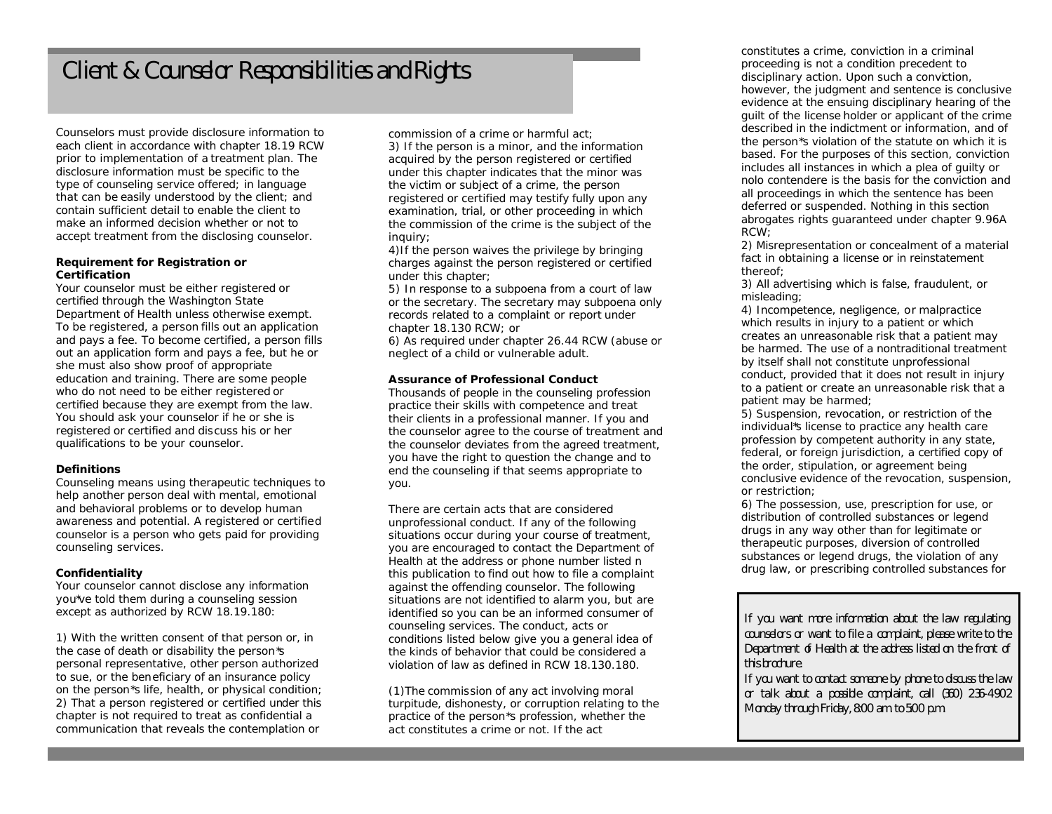## Client & Counselor Responsibilities and Rights

Counselors must provide disclosure information to each client in accordance with chapter 18.19 RCW prior to implementation of a treatment plan. The disclosure information must be specific to the type of counseling service offered; in language that can be easily understood by the client; and contain sufficient detail to enable the client to make an informed decision whether or not to accept treatment from the disclosing counselor.

#### **Requirement for Registration or Certification**

Your counselor must be either registered or certified through the Washington State Department of Health unless otherwise exempt. To be registered, a person fills out an application and pays a fee. To become certified, a person fills out an application form and pays a fee, but he or she must also show proof of appropriate education and training. There are some people who do not need to be either registered or certified because they are exempt from the law. You should ask your counselor if he or she is registered or certified and discuss his or her qualifications to be your counselor.

### **Definitions**

Counseling means using therapeutic techniques to help another person deal with mental, emotional and behavioral problems or to develop human awareness and potential. A registered or certified counselor is a person who gets paid for providing counseling services.

### **Confidentiality**

Your counselor cannot disclose any information you\*ve told them during a counseling session except as authorized by RCW 18.19.180:

1) With the written consent of that person or, in the case of death or disability the person\*s personal representative, other person authorized to sue, or the beneficiary of an insurance policy on the person\*s life, health, or physical condition; 2) That a person registered or certified under this chapter is not required to treat as confidential a communication that reveals the contemplation or

commission of a crime or harmful act;

3) If the person is a minor, and the information acquired by the person registered or certified under this chapter indicates that the minor was the victim or subject of a crime, the person registered or certified may testify fully upon any examination, trial, or other proceeding in which the commission of the crime is the subject of the inquiry:

4)If the person waives the privilege by bringing charges against the person registered or certified under this chapter;

5) In response to a subpoena from a court of law or the secretary. The secretary may subpoena only records related to a complaint or report under chapter 18.130 RCW; or

6) As required under chapter 26.44 RCW (abuse or neglect of a child or vulnerable adult.

### **Assurance of Professional Conduct**

Thousands of people in the counseling profession practice their skills with competence and treat their clients in a professional manner. If you and the counselor agree to the course of treatment and the counselor deviates from the agreed treatment, you have the right to question the change and to end the counseling if that seems appropriate to you.

There are certain acts that are considered unprofessional conduct. If any of the following situations occur during your course of treatment, you are encouraged to contact the Department of Health at the address or phone number listed n this publication to find out how to file a complaint against the offending counselor. The following situations are not identified to alarm you, but are identified so you can be an informed consumer of counseling services. The conduct, acts or conditions listed below give you a general idea of the kinds of behavior that could be considered a violation of law as defined in RCW 18.130.180.

(1)The commission of any act involving moral turpitude, dishonesty, or corruption relating to the practice of the person\*s profession, whether the act constitutes a crime or not. If the act

constitutes a crime, conviction in a criminal proceeding is not a condition precedent to disciplinary action. Upon such a conviction, however, the judgment and sentence is conclusive evidence at the ensuing disciplinary hearing of the guilt of the license holder or applicant of the crime described in the indictment or information, and of the person\*s violation of the statute on which it is based. For the purposes of this section, conviction includes all instances in which a plea of guilty or nolo contendere is the basis for the conviction and all proceedings in which the sentence has been deferred or suspended. Nothing in this section abrogates rights guaranteed under chapter 9.96A RCW;

2) Misrepresentation or concealment of a material fact in obtaining a license or in reinstatement thereof;

3) All advertising which is false, fraudulent, or misleading;

4) Incompetence, negligence, or malpractice which results in injury to a patient or which creates an unreasonable risk that a patient may be harmed. The use of a nontraditional treatment by itself shall not constitute unprofessional conduct, provided that it does not result in injury to a patient or create an unreasonable risk that a patient may be harmed;

5) Suspension, revocation, or restriction of the individual\*s license to practice any health care profession by competent authority in any state, federal, or foreign jurisdiction, a certified copy of the order, stipulation, or agreement being conclusive evidence of the revocation, suspension, or restriction;

6) The possession, use, prescription for use, or distribution of controlled substances or legend drugs in any way other than for legitimate or therapeutic purposes, diversion of controlled substances or legend drugs, the violation of any drug law, or prescribing controlled substances for

*If you want more information about the law regulating counselors or want to file a complaint, please write to the Department of Health at the address listed on the front of this brochure.* 

*If you want to contact someone by phone to discuss the law or talk about a possible complaint, call (360) 236-4902 Monday through Friday, 8:00 am. to 5:00 p.m.*